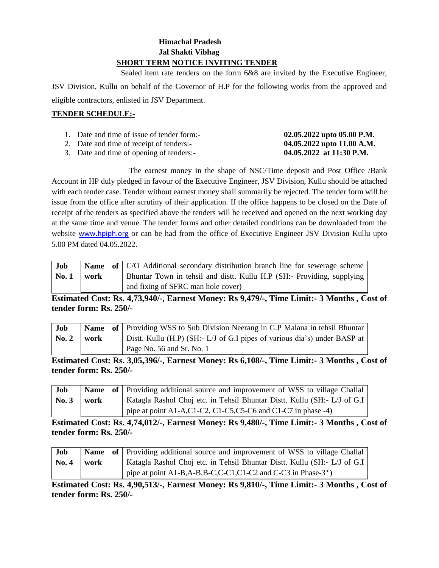# **Himachal Pradesh Jal Shakti Vibhag SHORT TERM NOTICE INVITING TENDER**

 Sealed item rate tenders on the form 6&8 are invited by the Executive Engineer, JSV Division, Kullu on behalf of the Governor of H.P for the following works from the approved and eligible contractors, enlisted in JSV Department.

# **TENDER SCHEDULE:-**

| 1. Date and time of issue of tender form:- | 02.05.2022 upto 05.00 P.M. |
|--------------------------------------------|----------------------------|
|                                            |                            |

- 2. Date and time of receipt of tenders:- **04.05.2022 upto 11.00 A.M.**
- 3. Date and time of opening of tenders:- **04.05.2022 at 11:30 P.M.**

The earnest money in the shape of NSC/Time deposit and Post Office /Bank Account in HP duly pledged in favour of the Executive Engineer, JSV Division, Kullu should be attached with each tender case. Tender without earnest money shall summarily be rejected. The tender form will be issue from the office after scrutiny of their application. If the office happens to be closed on the Date of receipt of the tenders as specified above the tenders will be received and opened on the next working day at the same time and venue. The tender forms and other detailed conditions can be downloaded from the website [www.hpiph.org](http://www.hpiph.org/) or can be had from the office of Executive Engineer JSV Division Kullu upto 5.00 PM dated 04.05.2022.

| Job  |      | <b>Name</b> of C/O Additional secondary distribution branch line for sewerage scheme |
|------|------|--------------------------------------------------------------------------------------|
| No.1 | work | Bhuntar Town in tehsil and distt. Kullu H.P (SH:- Providing, supplying '             |
|      |      | and fixing of SFRC man hole cover)                                                   |

**Estimated Cost: Rs. 4,73,940/-, Earnest Money: Rs 9,479/-, Time Limit:- 3 Months , Cost of tender form: Rs. 250/-**

| Job                        |  | <b>Name</b> of Providing WSS to Sub Division Neerang in G.P Malana in tehsil Bhuntar |
|----------------------------|--|--------------------------------------------------------------------------------------|
| $\vert$ No. 2 $\vert$ work |  | Dist. Kullu (H.P) (SH: - L/J of G.I pipes of various dia's) under BASP at            |
|                            |  | Page No. 56 and Sr. No. 1                                                            |

**Estimated Cost: Rs. 3,05,396/-, Earnest Money: Rs 6,108/-, Time Limit:- 3 Months , Cost of tender form: Rs. 250/-**

| Job                |      | <b>Name</b> of Providing additional source and improvement of WSS to village Challal |
|--------------------|------|--------------------------------------------------------------------------------------|
| $\mathbf{N_0}$ , 3 | work | Katagla Rashol Choj etc. in Tehsil Bhuntar Distt. Kullu (SH:- L/J of G.I)            |
|                    |      | pipe at point A1-A,C1-C2, C1-C5,C5-C6 and C1-C7 in phase -4)                         |

**Estimated Cost: Rs. 4,74,012/-, Earnest Money: Rs 9,480/-, Time Limit:- 3 Months , Cost of tender form: Rs. 250/-**

| Job          |      | Name of Providing additional source and improvement of WSS to village Challal |
|--------------|------|-------------------------------------------------------------------------------|
| $\bf{No. 4}$ | work | Katagla Rashol Choj etc. in Tehsil Bhuntar Distt. Kullu (SH: L/J of G.I)      |
|              |      | pipe at point A1-B,A-B,B-C,C-C1,C1-C2 and C-C3 in Phase- $3rd$ )              |

**Estimated Cost: Rs. 4,90,513/-, Earnest Money: Rs 9,810/-, Time Limit:- 3 Months , Cost of tender form: Rs. 250/-**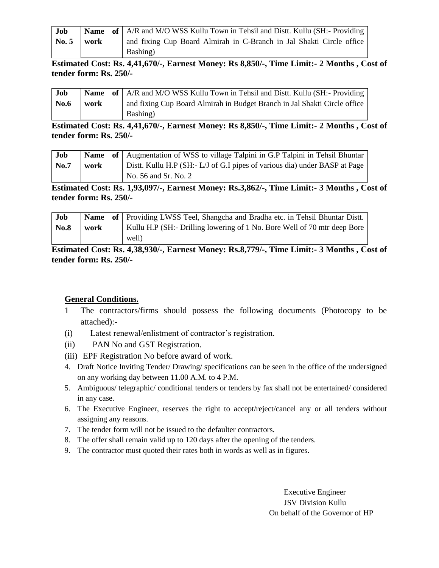| Job                               |  | <b>Name</b> of A/R and M/O WSS Kullu Town in Tehsil and Distt. Kullu (SH:- Providing |
|-----------------------------------|--|--------------------------------------------------------------------------------------|
| $\text{No. } 5 \quad \text{work}$ |  | and fixing Cup Board Almirah in C-Branch in Jal Shakti Circle office                 |
|                                   |  | Bashing)                                                                             |

**Estimated Cost: Rs. 4,41,670/-, Earnest Money: Rs 8,850/-, Time Limit:- 2 Months , Cost of tender form: Rs. 250/-**

| Job  |      | <b>Name</b> of   A/R and M/O WSS Kullu Town in Tehsil and Distt. Kullu (SH:- Providing |
|------|------|----------------------------------------------------------------------------------------|
| No.6 | work | and fixing Cup Board Almirah in Budget Branch in Jal Shakti Circle office              |
|      |      | Bashing)                                                                               |

**Estimated Cost: Rs. 4,41,670/-, Earnest Money: Rs 8,850/-, Time Limit:- 2 Months , Cost of tender form: Rs. 250/-**

| Job  |      | <b>Name</b> of Augmentation of WSS to village Talpini in G.P Talpini in Tehsil Bhuntar |
|------|------|----------------------------------------------------------------------------------------|
| No.7 | work | Dist. Kullu H.P (SH:- L/J of G.I pipes of various dia) under BASP at Page              |
|      |      | No. 56 and Sr. No. 2                                                                   |

**Estimated Cost: Rs. 1,93,097/-, Earnest Money: Rs.3,862/-, Time Limit:- 3 Months , Cost of tender form: Rs. 250/-**

| Job  |      | <b>Name</b> of Providing LWSS Teel, Shangcha and Bradha etc. in Tehsil Bhuntar Distt. |
|------|------|---------------------------------------------------------------------------------------|
| No.8 | work | Kullu H.P (SH:- Drilling lowering of 1 No. Bore Well of 70 mtr deep Bore              |
|      |      | well)                                                                                 |

**Estimated Cost: Rs. 4,38,930/-, Earnest Money: Rs.8,779/-, Time Limit:- 3 Months , Cost of tender form: Rs. 250/-**

# **General Conditions.**

- 1 The contractors/firms should possess the following documents (Photocopy to be attached):-
- (i) Latest renewal/enlistment of contractor's registration.
- (ii) PAN No and GST Registration.
- (iii) EPF Registration No before award of work.
- 4. Draft Notice Inviting Tender/ Drawing/ specifications can be seen in the office of the undersigned on any working day between 11.00 A.M. to 4 P.M.
- 5. Ambiguous/ telegraphic/ conditional tenders or tenders by fax shall not be entertained/ considered in any case.
- 6. The Executive Engineer, reserves the right to accept/reject/cancel any or all tenders without assigning any reasons.
- 7. The tender form will not be issued to the defaulter contractors.
- 8. The offer shall remain valid up to 120 days after the opening of the tenders.
- 9. The contractor must quoted their rates both in words as well as in figures.

Executive Engineer JSV Division Kullu On behalf of the Governor of HP